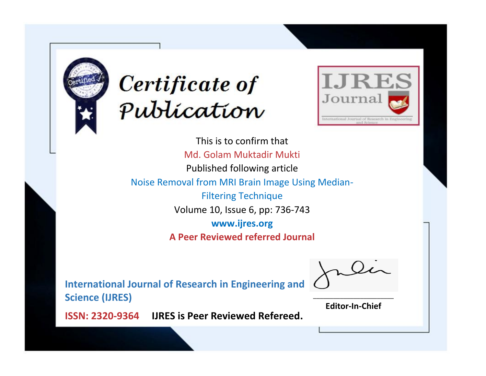



This is to confirm that Md. Golam Muktadir Mukti Published following article Noise Removal from MRI Brain Image Using Median-Filtering Technique Volume 10, Issue 6, pp: 736-743 **www.ijres.org A Peer Reviewed referred Journal**

**International Journal of Research in Engineering and Science (IJRES)**

\_\_\_\_\_\_\_\_\_\_\_\_\_\_\_\_\_\_\_\_\_\_\_\_ **Editor-In-Chief**

**Journal.**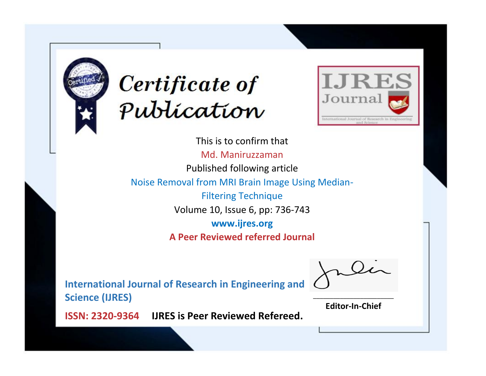



This is to confirm that Md. Maniruzzaman Published following article Noise Removal from MRI Brain Image Using Median-Filtering Technique Volume 10, Issue 6, pp: 736-743 **www.ijres.org A Peer Reviewed referred Journal**

**International Journal of Research in Engineering and Science (IJRES)**

\_\_\_\_\_\_\_\_\_\_\_\_\_\_\_\_\_\_\_\_\_\_\_\_ **Editor-In-Chief**

**Journal.**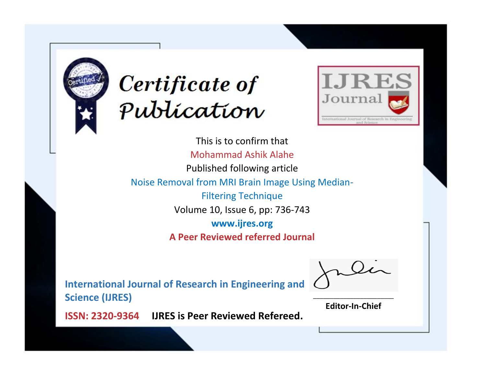



This is to confirm that Mohammad Ashik Alahe Published following article Noise Removal from MRI Brain Image Using Median-Filtering Technique Volume 10, Issue 6, pp: 736-743 **www.ijres.org A Peer Reviewed referred Journal**

**International Journal of Research in Engineering and Science (IJRES)**

\_\_\_\_\_\_\_\_\_\_\_\_\_\_\_\_\_\_\_\_\_\_\_\_ **Editor-In-Chief**

**Journal.**